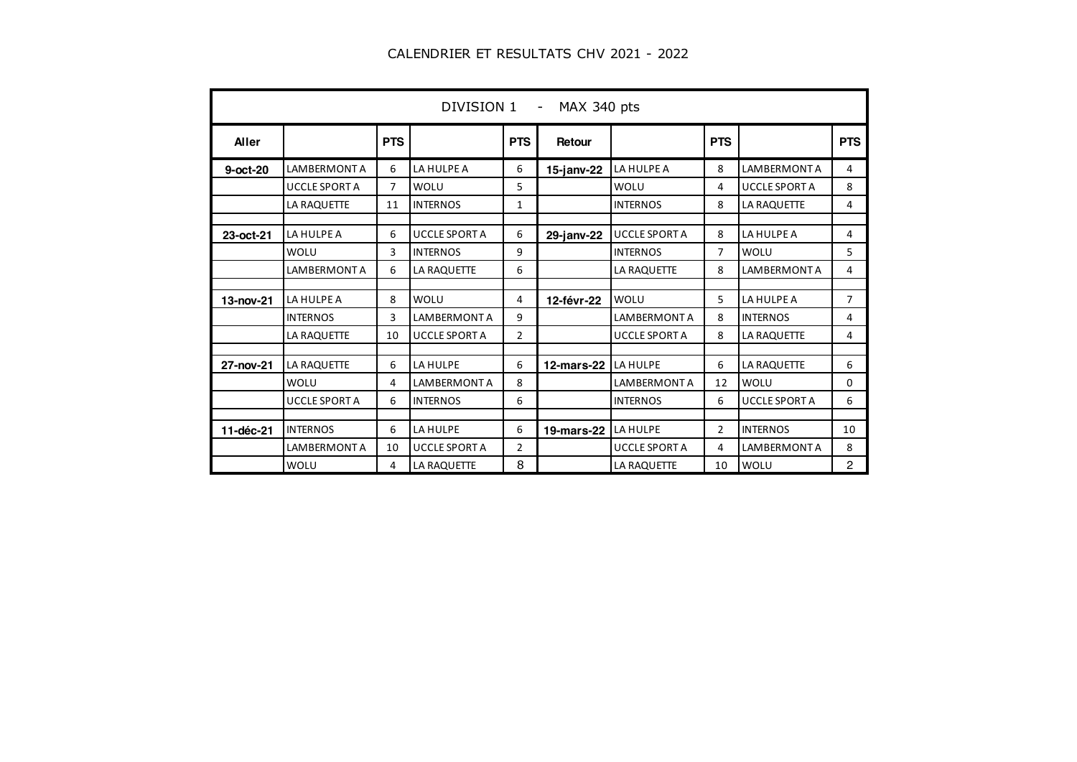|            | DIVISION 1 - MAX 340 pts |                |                      |                |               |                      |                |                      |                |  |  |  |
|------------|--------------------------|----------------|----------------------|----------------|---------------|----------------------|----------------|----------------------|----------------|--|--|--|
| Aller      |                          | <b>PTS</b>     |                      | <b>PTS</b>     | Retour        |                      | <b>PTS</b>     |                      | <b>PTS</b>     |  |  |  |
| $9-oct-20$ | <b>LAMBERMONT A</b>      | 6              | LA HULPE A           | 6              | $15$ -janv-22 | LA HULPE A           | 8              | <b>LAMBERMONT A</b>  | 4              |  |  |  |
|            | <b>UCCLE SPORT A</b>     | $\overline{7}$ | WOLU                 | 5              |               | WOLU                 | 4              | <b>UCCLE SPORT A</b> | 8              |  |  |  |
|            | LA RAQUETTE              | 11             | <b>INTERNOS</b>      | 1              |               | <b>INTERNOS</b>      | 8              | LA RAQUETTE          | 4              |  |  |  |
| 23-oct-21  | LA HULPE A               | 6              | <b>UCCLE SPORT A</b> | 6              | 29-janv-22    | <b>UCCLE SPORT A</b> | 8              | LA HULPE A           | 4              |  |  |  |
|            | WOLU                     | 3              | <b>INTERNOS</b>      | 9              |               | <b>INTERNOS</b>      | $\overline{7}$ | WOLU                 | 5              |  |  |  |
|            | <b>LAMBERMONT A</b>      | 6              | LA RAQUETTE          | 6              |               | <b>LA RAQUETTE</b>   | 8              | <b>LAMBERMONT A</b>  | 4              |  |  |  |
|            |                          |                |                      |                |               |                      |                |                      |                |  |  |  |
| 13-nov-21  | LA HULPE A               | 8              | WOLU                 | 4              | 12-févr-22    | WOLU                 | 5              | LA HULPE A           | $\overline{7}$ |  |  |  |
|            | <b>INTERNOS</b>          | 3              | <b>LAMBERMONT A</b>  | 9              |               | <b>LAMBERMONT A</b>  | 8              | <b>INTERNOS</b>      | 4              |  |  |  |
|            | LA RAQUETTE              | 10             | <b>UCCLE SPORT A</b> | $\overline{2}$ |               | <b>UCCLE SPORT A</b> | 8              | LA RAQUETTE          | 4              |  |  |  |
| 27-nov-21  | <b>LA RAQUETTE</b>       | 6              | LA HULPE             | 6              | $12$ -mars-22 | LA HULPE             | 6              | LA RAQUETTE          | 6              |  |  |  |
|            | WOLU                     | 4              | <b>LAMBERMONT A</b>  | 8              |               | <b>LAMBERMONT A</b>  | 12             | WOLU                 | 0              |  |  |  |
|            | <b>UCCLE SPORT A</b>     | 6              | <b>INTERNOS</b>      | 6              |               | <b>INTERNOS</b>      | 6              | <b>UCCLE SPORT A</b> | 6              |  |  |  |
|            |                          |                |                      |                |               |                      |                |                      |                |  |  |  |
| 11-déc-21  | <b>INTERNOS</b>          | 6              | LA HULPE             | 6              | 19-mars-22    | LA HULPE             | $\overline{2}$ | <b>INTERNOS</b>      | 10             |  |  |  |
|            | <b>LAMBERMONT A</b>      | 10             | <b>UCCLE SPORT A</b> | $\overline{2}$ |               | <b>UCCLE SPORT A</b> | 4              | <b>LAMBERMONT A</b>  | 8              |  |  |  |
|            | <b>WOLU</b>              | 4              | LA RAQUETTE          | 8              |               | LA RAQUETTE          | 10             | WOLU                 | $\overline{c}$ |  |  |  |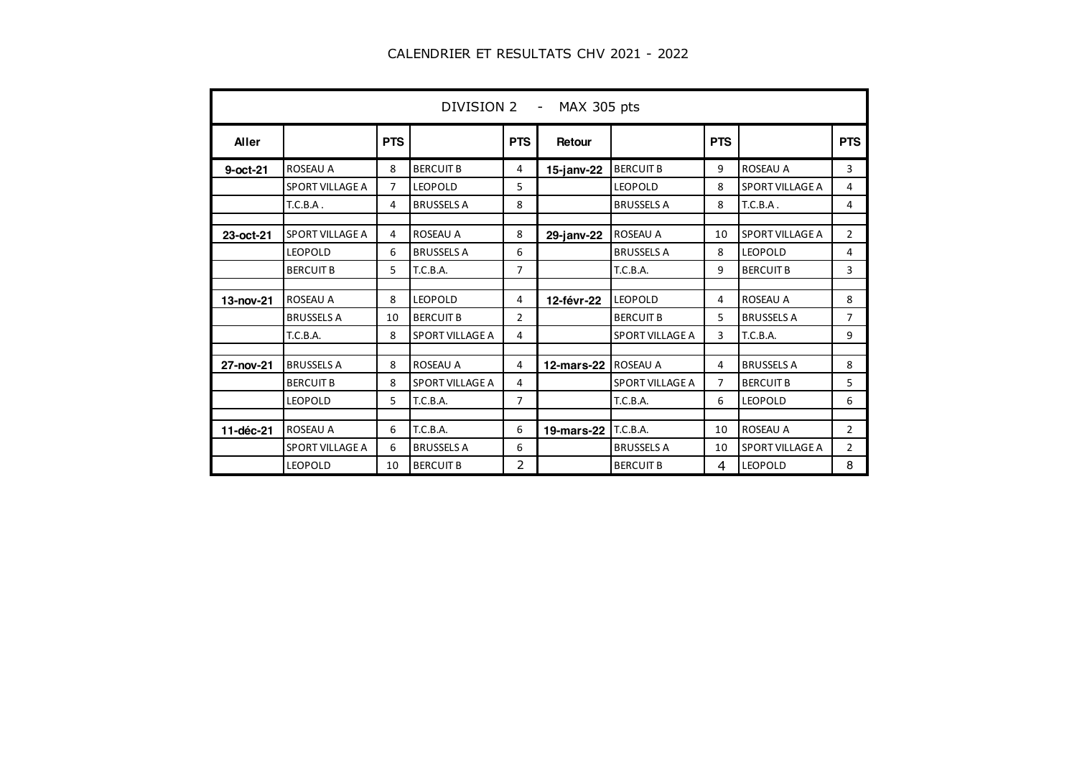| <b>MAX 305 pts</b><br>DIVISION 2 - |                        |            |                        |            |               |                        |                |                        |                |  |  |
|------------------------------------|------------------------|------------|------------------------|------------|---------------|------------------------|----------------|------------------------|----------------|--|--|
| <b>Aller</b>                       |                        | <b>PTS</b> |                        | <b>PTS</b> | Retour        |                        | <b>PTS</b>     |                        | <b>PTS</b>     |  |  |
| $9-oct-21$                         | <b>ROSEAU A</b>        | 8          | <b>BERCUIT B</b>       | 4          | $15$ -janv-22 | <b>BERCUIT B</b>       | 9              | <b>ROSEAU A</b>        | 3              |  |  |
|                                    | SPORT VILLAGE A        | 7          | <b>LEOPOLD</b>         | 5          |               | <b>LEOPOLD</b>         | 8              | SPORT VILLAGE A        | 4              |  |  |
|                                    | T.C.B.A.               | 4          | <b>BRUSSELS A</b>      | 8          |               | <b>BRUSSELS A</b>      | 8              | T.C.B.A.               | 4              |  |  |
| 23-oct-21                          | SPORT VILLAGE A        | 4          | <b>ROSEAU A</b>        | 8          | $29$ -janv-22 | ROSEAU A               | 10             | SPORT VILLAGE A        | $\overline{2}$ |  |  |
|                                    | <b>LEOPOLD</b>         | 6          | <b>BRUSSELS A</b>      | 6          |               | <b>BRUSSELS A</b>      | 8              | <b>LEOPOLD</b>         | 4              |  |  |
|                                    | <b>BERCUIT B</b>       | 5          | T.C.B.A.               | 7          |               | T.C.B.A.               | 9              | <b>BERCUIT B</b>       | 3              |  |  |
| 13-nov-21                          | <b>ROSEAU A</b>        | 8          | <b>LEOPOLD</b>         | 4          | 12-févr-22    | <b>LEOPOLD</b>         | 4              | <b>ROSEAU A</b>        | 8              |  |  |
|                                    | <b>BRUSSELS A</b>      | 10         | <b>BERCUIT B</b>       | 2          |               | <b>BERCUIT B</b>       | 5              | <b>BRUSSELS A</b>      | 7              |  |  |
|                                    | T.C.B.A.               | 8          | <b>SPORT VILLAGE A</b> | 4          |               | <b>SPORT VILLAGE A</b> | 3              | T.C.B.A.               | 9              |  |  |
| 27-nov-21                          | <b>BRUSSELS A</b>      | 8          | <b>ROSEAU A</b>        | 4          | 12-mars-22    | <b>ROSEAU A</b>        | 4              | <b>BRUSSELS A</b>      | 8              |  |  |
|                                    | <b>BERCUIT B</b>       | 8          | SPORT VILLAGE A        | 4          |               | <b>SPORT VILLAGE A</b> | $\overline{7}$ | <b>BERCUIT B</b>       | 5              |  |  |
|                                    | <b>LEOPOLD</b>         | 5          | T.C.B.A.               | 7          |               | T.C.B.A.               | 6              | LEOPOLD                | 6              |  |  |
| 11-déc-21                          | <b>ROSEAU A</b>        | 6          | T.C.B.A.               | 6          | 19-mars-22    | T.C.B.A.               | 10             | <b>ROSEAU A</b>        | $\overline{2}$ |  |  |
|                                    | <b>SPORT VILLAGE A</b> | 6          | <b>BRUSSELS A</b>      | 6          |               | <b>BRUSSELS A</b>      | 10             | <b>SPORT VILLAGE A</b> | $\overline{2}$ |  |  |
|                                    | <b>LEOPOLD</b>         | 10         | <b>BERCUIT B</b>       | 2          |               | <b>BERCUIT B</b>       | 4              | <b>LEOPOLD</b>         | 8              |  |  |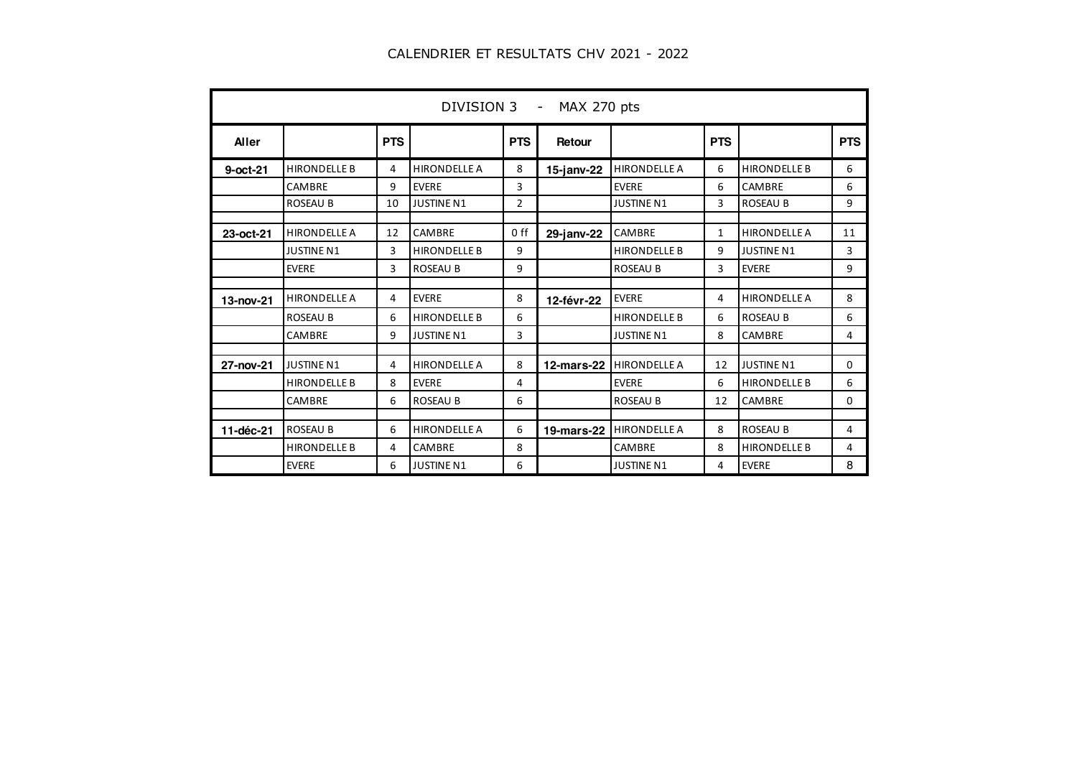|             | DIVISION 3 - MAX 270 pts |            |                     |                 |               |                     |              |                     |            |  |  |  |
|-------------|--------------------------|------------|---------------------|-----------------|---------------|---------------------|--------------|---------------------|------------|--|--|--|
| Aller       |                          | <b>PTS</b> |                     | <b>PTS</b>      | Retour        |                     | <b>PTS</b>   |                     | <b>PTS</b> |  |  |  |
| $9$ -oct-21 | <b>HIRONDELLE B</b>      | 4          | <b>HIRONDELLE A</b> | 8               | $15$ -janv-22 | <b>HIRONDELLE A</b> | 6            | <b>HIRONDELLE B</b> | 6          |  |  |  |
|             | CAMBRE                   | 9          | <b>EVERE</b>        | 3               |               | <b>EVERE</b>        | 6            | CAMBRE              | 6          |  |  |  |
|             | <b>ROSEAU B</b>          | 10         | <b>JUSTINE N1</b>   | 2               |               | <b>JUSTINE N1</b>   | 3            | <b>ROSEAU B</b>     | 9          |  |  |  |
| 23-oct-21   | <b>HIRONDELLE A</b>      | 12         | CAMBRE              | 0 <sub>ff</sub> | 29-janv-22    | CAMBRE              | $\mathbf{1}$ | <b>HIRONDELLE A</b> | 11         |  |  |  |
|             | <b>JUSTINE N1</b>        | 3          | <b>HIRONDELLE B</b> | 9               |               | <b>HIRONDELLE B</b> | 9            | <b>JUSTINE N1</b>   | 3          |  |  |  |
|             | <b>EVERE</b>             | 3          | <b>ROSEAU B</b>     | 9               |               | <b>ROSEAU B</b>     | 3            | <b>EVERE</b>        | 9          |  |  |  |
| 13-nov-21   | <b>HIRONDELLE A</b>      | 4          | <b>EVERE</b>        | 8               | 12-févr-22    | <b>EVERE</b>        | 4            | <b>HIRONDELLE A</b> | 8          |  |  |  |
|             | <b>ROSEAU B</b>          | 6          | <b>HIRONDELLE B</b> | 6               |               | <b>HIRONDELLE B</b> | 6            | <b>ROSEAU B</b>     | 6          |  |  |  |
|             | CAMBRE                   | 9          | <b>JUSTINE N1</b>   | 3               |               | <b>JUSTINE N1</b>   | 8            | CAMBRE              | 4          |  |  |  |
| 27-nov-21   | <b>JUSTINE N1</b>        | 4          | <b>HIRONDELLE A</b> | 8               | $12$ -mars-22 | <b>HIRONDELLE A</b> | 12           | <b>JUSTINE N1</b>   | 0          |  |  |  |
|             | <b>HIRONDELLE B</b>      | 8          | <b>EVERE</b>        | 4               |               | <b>EVERE</b>        | 6            | <b>HIRONDELLE B</b> | 6          |  |  |  |
|             | CAMBRE                   | 6          | <b>ROSEAU B</b>     | 6               |               | <b>ROSEAU B</b>     | 12           | CAMBRE              | 0          |  |  |  |
| 11-déc-21   | <b>ROSEAU B</b>          | 6          | <b>HIRONDELLE A</b> | 6               | 19-mars-22    | <b>HIRONDELLE A</b> | 8            | <b>ROSEAU B</b>     | 4          |  |  |  |
|             | <b>HIRONDELLE B</b>      | 4          | CAMBRE              | 8               |               | CAMBRE              | 8            | <b>HIRONDELLE B</b> | 4          |  |  |  |
|             | <b>EVERE</b>             | 6          | <b>JUSTINE N1</b>   | 6               |               | <b>JUSTINE N1</b>   | 4            | <b>EVERE</b>        | 8          |  |  |  |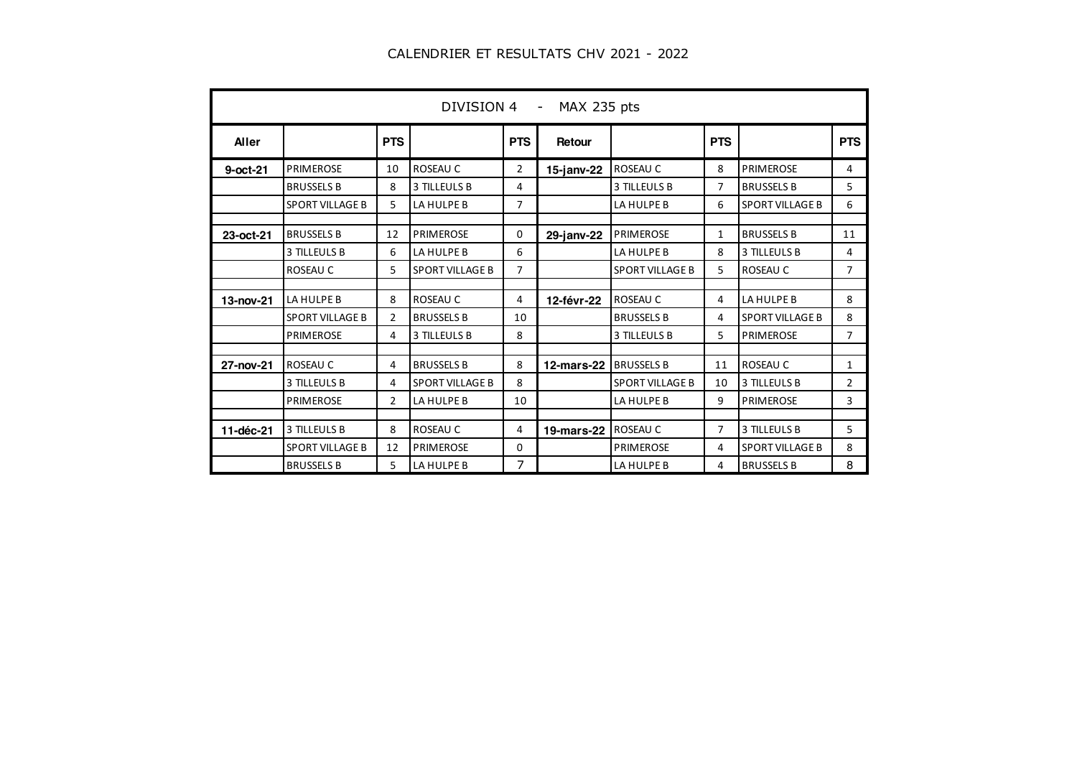|           | DIVISION 4 -<br>MAX 235 pts |                |                        |                |                   |                        |            |                        |                |  |  |  |
|-----------|-----------------------------|----------------|------------------------|----------------|-------------------|------------------------|------------|------------------------|----------------|--|--|--|
| Aller     |                             | <b>PTS</b>     |                        | <b>PTS</b>     | Retour            |                        | <b>PTS</b> |                        | <b>PTS</b>     |  |  |  |
| 9-oct-21  | <b>PRIMEROSE</b>            | 10             | ROSEAU C               | $\overline{2}$ | $15$ -janv-22     | <b>ROSEAU C</b>        | 8          | <b>PRIMEROSE</b>       | 4              |  |  |  |
|           | <b>BRUSSELS B</b>           | 8              | 3 TILLEULS B           | 4              |                   | 3 TILLEULS B           | 7          | <b>BRUSSELS B</b>      | 5              |  |  |  |
|           | <b>SPORT VILLAGE B</b>      | 5              | LA HULPE B             | 7              |                   | LA HULPE B             | 6          | <b>SPORT VILLAGE B</b> | 6              |  |  |  |
| 23-oct-21 | <b>BRUSSELS B</b>           | 12             | <b>PRIMEROSE</b>       | 0              | 29-janv-22        | <b>PRIMEROSE</b>       | 1          | <b>BRUSSELS B</b>      | 11             |  |  |  |
|           | <b>3 TILLEULS B</b>         | 6              | LA HULPE B             | 6              |                   | LA HULPE B             | 8          | 3 TILLEULS B           | 4              |  |  |  |
|           | ROSEAU C                    | 5              | <b>SPORT VILLAGE B</b> | 7              |                   | <b>SPORT VILLAGE B</b> | 5          | ROSEAU C               | $\overline{7}$ |  |  |  |
| 13-nov-21 | LA HULPE B                  | 8              | ROSEAU C               | 4              | 12-févr-22        | ROSEAU C               | 4          | LA HULPE B             | 8              |  |  |  |
|           | <b>SPORT VILLAGE B</b>      | $\overline{2}$ | <b>BRUSSELS B</b>      | 10             |                   | <b>BRUSSELS B</b>      | 4          | <b>SPORT VILLAGE B</b> | 8              |  |  |  |
|           | <b>PRIMEROSE</b>            | 4              | 3 TILLEULS B           | 8              |                   | 3 TILLEULS B           | 5.         | <b>PRIMEROSE</b>       | 7              |  |  |  |
| 27-nov-21 | ROSEAU C                    | 4              | <b>BRUSSELS B</b>      | 8              | 12-mars-22        | <b>BRUSSELS B</b>      | 11         | ROSEAU C               | 1              |  |  |  |
|           | 3 TILLEULS B                | 4              | <b>SPORT VILLAGE B</b> | 8              |                   | <b>SPORT VILLAGE B</b> | 10         | 3 TILLEULS B           | $\overline{2}$ |  |  |  |
|           | <b>PRIMEROSE</b>            | $\overline{2}$ | LA HULPE B             | 10             |                   | LA HULPE B             | 9          | <b>PRIMEROSE</b>       | 3              |  |  |  |
| 11-déc-21 | 3 TILLEULS B                | 8              | ROSEAU C               | 4              | <b>19-mars-22</b> | ROSEAU C               | 7          | 3 TILLEULS B           | 5              |  |  |  |
|           | <b>SPORT VILLAGE B</b>      | 12             | <b>PRIMEROSE</b>       | 0              |                   | <b>PRIMEROSE</b>       | 4          | <b>SPORT VILLAGE B</b> | 8              |  |  |  |
|           | <b>BRUSSELS B</b>           | 5              | LA HULPE B             | 7              |                   | LA HULPE B             | 4          | <b>BRUSSELS B</b>      | 8              |  |  |  |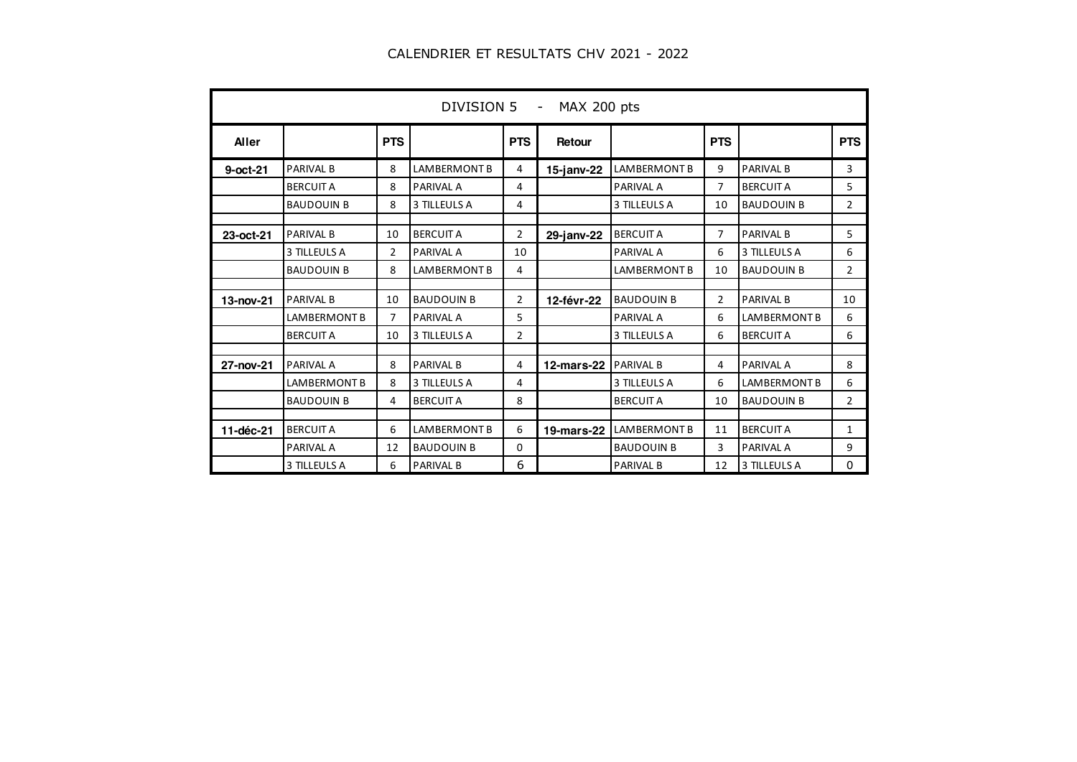| DIVISION 5 - MAX 200 pts |                     |            |                     |                |                   |                     |                |                     |                |  |  |
|--------------------------|---------------------|------------|---------------------|----------------|-------------------|---------------------|----------------|---------------------|----------------|--|--|
| <b>Aller</b>             |                     | <b>PTS</b> |                     | <b>PTS</b>     | Retour            |                     | <b>PTS</b>     |                     | <b>PTS</b>     |  |  |
| $9$ -oct-21              | <b>PARIVAL B</b>    | 8          | <b>LAMBERMONT B</b> | 4              | $15$ -janv-22     | <b>LAMBERMONT B</b> | 9              | <b>PARIVAL B</b>    | 3              |  |  |
|                          | <b>BERCUIT A</b>    | 8          | <b>PARIVAL A</b>    | 4              |                   | <b>PARIVAL A</b>    | 7              | <b>BERCUIT A</b>    | 5              |  |  |
|                          | <b>BAUDOUIN B</b>   | 8          | 3 TILLEULS A        | 4              |                   | 3 TILLEULS A        | 10             | <b>BAUDOUIN B</b>   | 2              |  |  |
| 23-oct-21                | <b>PARIVAL B</b>    | 10         | <b>BERCUIT A</b>    | 2              | 29-janv-22        | <b>BERCUIT A</b>    | 7              | <b>PARIVAL B</b>    | 5              |  |  |
|                          | 3 TILLEULS A        | 2          | <b>PARIVAL A</b>    | 10             |                   | <b>PARIVAL A</b>    | 6              | 3 TILLEULS A        | 6              |  |  |
|                          | <b>BAUDOUIN B</b>   | 8          | LAMBERMONT B        | 4              |                   | <b>LAMBERMONT B</b> | 10             | <b>BAUDOUIN B</b>   | $\overline{2}$ |  |  |
| 13-nov-21                | <b>PARIVAL B</b>    | 10         | <b>BAUDOUIN B</b>   | $\overline{2}$ | 12-févr-22        | <b>BAUDOUIN B</b>   | $\overline{2}$ | <b>PARIVAL B</b>    | 10             |  |  |
|                          | <b>LAMBERMONT B</b> | 7          | <b>PARIVAL A</b>    | 5              |                   | <b>PARIVAL A</b>    | 6              | <b>LAMBERMONT B</b> | 6              |  |  |
|                          | <b>BERCUIT A</b>    | 10         | 3 TILLEULS A        | $\overline{2}$ |                   | 3 TILLEULS A        | 6              | <b>BERCUIT A</b>    | 6              |  |  |
| 27-nov-21                | <b>PARIVAL A</b>    | 8          | <b>PARIVAL B</b>    | 4              | <b>12-mars-22</b> | <b>PARIVAL B</b>    | 4              | <b>PARIVAL A</b>    | 8              |  |  |
|                          | <b>LAMBERMONT B</b> | 8          | 3 TILLEULS A        | 4              |                   | 3 TILLEULS A        | 6              | <b>LAMBERMONT B</b> | 6              |  |  |
|                          | <b>BAUDOUIN B</b>   | 4          | <b>BERCUIT A</b>    | 8              |                   | <b>BERCUIT A</b>    | 10             | <b>BAUDOUIN B</b>   | $\overline{2}$ |  |  |
| 11-déc-21                | <b>BERCUIT A</b>    | 6          | <b>LAMBERMONT B</b> | 6              | <b>19-mars-22</b> | <b>LAMBERMONT B</b> | 11             | <b>BERCUIT A</b>    | 1              |  |  |
|                          | <b>PARIVAL A</b>    | 12         | <b>BAUDOUIN B</b>   | 0              |                   | <b>BAUDOUIN B</b>   | 3              | <b>PARIVAL A</b>    | 9              |  |  |
|                          | 3 TILLEULS A        | 6          | <b>PARIVAL B</b>    | 6              |                   | <b>PARIVAL B</b>    | 12             | 3 TILLEULS A        | 0              |  |  |